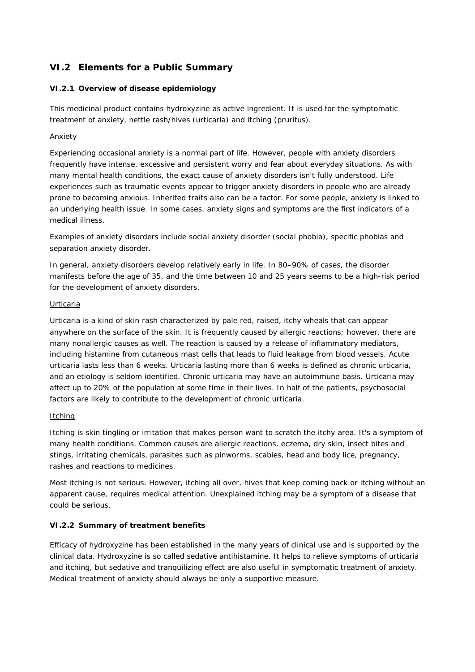# **VI.2 Elements for a Public Summary**

### *VI.2.1 Overview of disease epidemiology*

This medicinal product contains hydroxyzine as active ingredient. It is used for the symptomatic treatment of anxiety, nettle rash/hives (urticaria) and itching (pruritus).

### Anxiety

Experiencing occasional anxiety is a normal part of life. However, people with anxiety disorders frequently have intense, excessive and persistent worry and fear about everyday situations. As with many mental health conditions, the exact cause of anxiety disorders isn't fully understood. Life experiences such as traumatic events appear to trigger anxiety disorders in people who are already prone to becoming anxious. Inherited traits also can be a factor. For some people, anxiety is linked to an underlying health issue. In some cases, anxiety signs and symptoms are the first indicators of a medical illness.

Examples of anxiety disorders include social anxiety disorder (social phobia), specific phobias and separation anxiety disorder.

In general, anxiety disorders develop relatively early in life. In 80–90% of cases, the disorder manifests before the age of 35, and the time between 10 and 25 years seems to be a high-risk period for the development of anxiety disorders.

### Urticaria

Urticaria is a kind of skin rash characterized by pale red, raised, itchy wheals that can appear anywhere on the surface of the skin. It is frequently caused by allergic reactions; however, there are many nonallergic causes as well. The reaction is caused by a release of inflammatory mediators, including histamine from cutaneous mast cells that leads to fluid leakage from blood vessels. Acute urticaria lasts less than 6 weeks. Urticaria lasting more than 6 weeks is defined as chronic urticaria, and an etiology is seldom identified. Chronic urticaria may have an autoimmune basis. Urticaria may affect up to 20% of the population at some time in their lives. In half of the patients, psychosocial factors are likely to contribute to the development of chronic urticaria.

### **Itching**

Itching is skin tingling or irritation that makes person want to scratch the itchy area. It's a symptom of many health conditions. Common causes are allergic reactions, eczema, dry skin, insect bites and stings, irritating chemicals, parasites such as pinworms, scabies, head and body lice, pregnancy, rashes and reactions to medicines.

Most itching is not serious. However, itching all over, hives that keep coming back or itching without an apparent cause, requires medical attention. Unexplained itching may be a symptom of a disease that could be serious.

### *VI.2.2 Summary of treatment benefits*

Efficacy of hydroxyzine has been established in the many years of clinical use and is supported by the clinical data. Hydroxyzine is so called sedative antihistamine. It helps to relieve symptoms of urticaria and itching, but sedative and tranquilizing effect are also useful in symptomatic treatment of anxiety. Medical treatment of anxiety should always be only a supportive measure.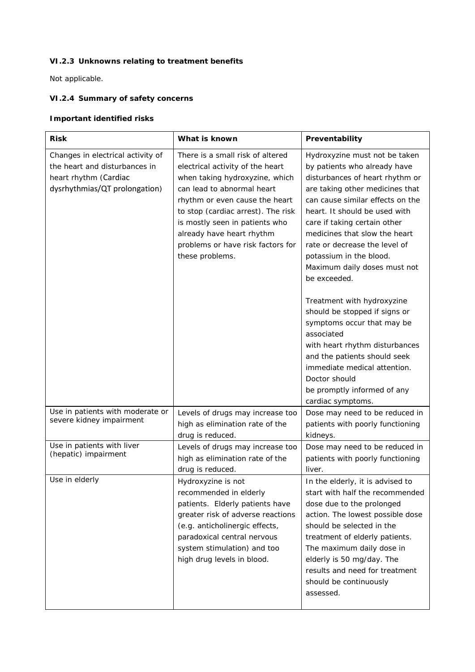# *VI.2.3 Unknowns relating to treatment benefits*

Not applicable.

# *VI.2.4 Summary of safety concerns*

## **Important identified risks**

| <b>Risk</b>                                                                                                                  | What is known                                                                                                                                                                                                                                                                                                                       | Preventability                                                                                                                                                                                                                                                                                                                                                                                                                                                                                                                                                                                                                                     |
|------------------------------------------------------------------------------------------------------------------------------|-------------------------------------------------------------------------------------------------------------------------------------------------------------------------------------------------------------------------------------------------------------------------------------------------------------------------------------|----------------------------------------------------------------------------------------------------------------------------------------------------------------------------------------------------------------------------------------------------------------------------------------------------------------------------------------------------------------------------------------------------------------------------------------------------------------------------------------------------------------------------------------------------------------------------------------------------------------------------------------------------|
| Changes in electrical activity of<br>the heart and disturbances in<br>heart rhythm (Cardiac<br>dysrhythmias/QT prolongation) | There is a small risk of altered<br>electrical activity of the heart<br>when taking hydroxyzine, which<br>can lead to abnormal heart<br>rhythm or even cause the heart<br>to stop (cardiac arrest). The risk<br>is mostly seen in patients who<br>already have heart rhythm<br>problems or have risk factors for<br>these problems. | Hydroxyzine must not be taken<br>by patients who already have<br>disturbances of heart rhythm or<br>are taking other medicines that<br>can cause similar effects on the<br>heart. It should be used with<br>care if taking certain other<br>medicines that slow the heart<br>rate or decrease the level of<br>potassium in the blood.<br>Maximum daily doses must not<br>be exceeded.<br>Treatment with hydroxyzine<br>should be stopped if signs or<br>symptoms occur that may be<br>associated<br>with heart rhythm disturbances<br>and the patients should seek<br>immediate medical attention.<br>Doctor should<br>be promptly informed of any |
| Use in patients with moderate or<br>severe kidney impairment                                                                 | Levels of drugs may increase too<br>high as elimination rate of the<br>drug is reduced.                                                                                                                                                                                                                                             | cardiac symptoms.<br>Dose may need to be reduced in<br>patients with poorly functioning<br>kidneys.                                                                                                                                                                                                                                                                                                                                                                                                                                                                                                                                                |
| Use in patients with liver<br>(hepatic) impairment                                                                           | Levels of drugs may increase too<br>high as elimination rate of the<br>drug is reduced.                                                                                                                                                                                                                                             | Dose may need to be reduced in<br>patients with poorly functioning<br>liver.                                                                                                                                                                                                                                                                                                                                                                                                                                                                                                                                                                       |
| Use in elderly                                                                                                               | Hydroxyzine is not<br>recommended in elderly<br>patients. Elderly patients have<br>greater risk of adverse reactions<br>(e.g. anticholinergic effects,<br>paradoxical central nervous<br>system stimulation) and too<br>high drug levels in blood.                                                                                  | In the elderly, it is advised to<br>start with half the recommended<br>dose due to the prolonged<br>action. The lowest possible dose<br>should be selected in the<br>treatment of elderly patients.<br>The maximum daily dose in<br>elderly is 50 mg/day. The<br>results and need for treatment<br>should be continuously<br>assessed.                                                                                                                                                                                                                                                                                                             |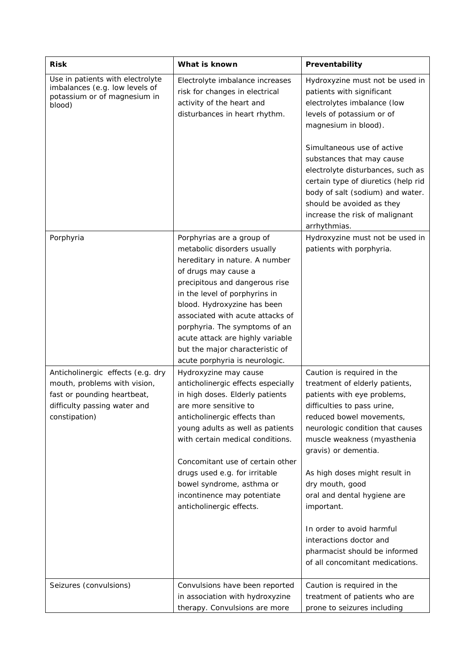| <b>Risk</b>                                                                                                                                       | What is known                                                                                                                                                                                                                                                                                                                                                                                      | Preventability                                                                                                                                                                                                                                                                                                                                                                                                                                                                 |
|---------------------------------------------------------------------------------------------------------------------------------------------------|----------------------------------------------------------------------------------------------------------------------------------------------------------------------------------------------------------------------------------------------------------------------------------------------------------------------------------------------------------------------------------------------------|--------------------------------------------------------------------------------------------------------------------------------------------------------------------------------------------------------------------------------------------------------------------------------------------------------------------------------------------------------------------------------------------------------------------------------------------------------------------------------|
| Use in patients with electrolyte<br>imbalances (e.g. low levels of<br>potassium or of magnesium in<br>blood)                                      | Electrolyte imbalance increases<br>risk for changes in electrical<br>activity of the heart and<br>disturbances in heart rhythm.                                                                                                                                                                                                                                                                    | Hydroxyzine must not be used in<br>patients with significant<br>electrolytes imbalance (low<br>levels of potassium or of<br>magnesium in blood).<br>Simultaneous use of active<br>substances that may cause<br>electrolyte disturbances, such as<br>certain type of diuretics (help rid<br>body of salt (sodium) and water.<br>should be avoided as they<br>increase the risk of malignant<br>arrhythmias.                                                                     |
| Porphyria                                                                                                                                         | Porphyrias are a group of<br>metabolic disorders usually<br>hereditary in nature. A number<br>of drugs may cause a<br>precipitous and dangerous rise<br>in the level of porphyrins in<br>blood. Hydroxyzine has been<br>associated with acute attacks of<br>porphyria. The symptoms of an<br>acute attack are highly variable<br>but the major characteristic of<br>acute porphyria is neurologic. | Hydroxyzine must not be used in<br>patients with porphyria.                                                                                                                                                                                                                                                                                                                                                                                                                    |
| Anticholinergic effects (e.g. dry<br>mouth, problems with vision,<br>fast or pounding heartbeat,<br>difficulty passing water and<br>constipation) | Hydroxyzine may cause<br>anticholinergic effects especially<br>in high doses. Elderly patients<br>are more sensitive to<br>anticholinergic effects than<br>young adults as well as patients<br>with certain medical conditions.<br>Concomitant use of certain other<br>drugs used e.g. for irritable<br>bowel syndrome, asthma or<br>incontinence may potentiate<br>anticholinergic effects.       | Caution is required in the<br>treatment of elderly patients,<br>patients with eye problems,<br>difficulties to pass urine,<br>reduced bowel movements,<br>neurologic condition that causes<br>muscle weakness (myasthenia<br>gravis) or dementia.<br>As high doses might result in<br>dry mouth, good<br>oral and dental hygiene are<br>important.<br>In order to avoid harmful<br>interactions doctor and<br>pharmacist should be informed<br>of all concomitant medications. |
| Seizures (convulsions)                                                                                                                            | Convulsions have been reported<br>in association with hydroxyzine<br>therapy. Convulsions are more                                                                                                                                                                                                                                                                                                 | Caution is required in the<br>treatment of patients who are<br>prone to seizures including                                                                                                                                                                                                                                                                                                                                                                                     |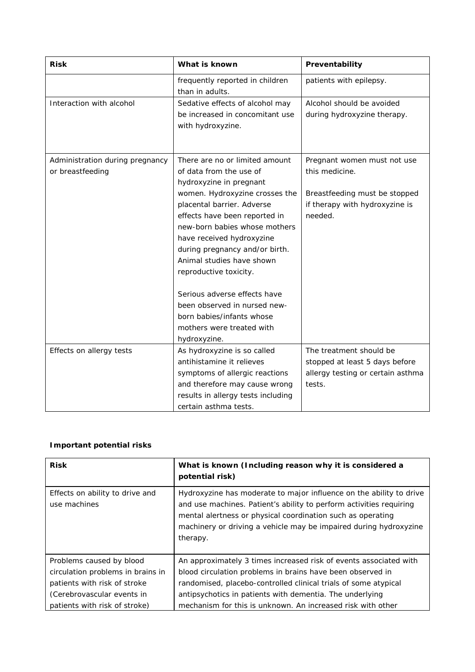| <b>Risk</b>                                         | What is known                                                                                                                                                                                                                                                                                                                                                                                                                                                                          | Preventability                                                                                                              |
|-----------------------------------------------------|----------------------------------------------------------------------------------------------------------------------------------------------------------------------------------------------------------------------------------------------------------------------------------------------------------------------------------------------------------------------------------------------------------------------------------------------------------------------------------------|-----------------------------------------------------------------------------------------------------------------------------|
|                                                     | frequently reported in children<br>than in adults.                                                                                                                                                                                                                                                                                                                                                                                                                                     | patients with epilepsy.                                                                                                     |
| Interaction with alcohol                            | Sedative effects of alcohol may<br>be increased in concomitant use<br>with hydroxyzine.                                                                                                                                                                                                                                                                                                                                                                                                | Alcohol should be avoided<br>during hydroxyzine therapy.                                                                    |
| Administration during pregnancy<br>or breastfeeding | There are no or limited amount<br>of data from the use of<br>hydroxyzine in pregnant<br>women. Hydroxyzine crosses the<br>placental barrier. Adverse<br>effects have been reported in<br>new-born babies whose mothers<br>have received hydroxyzine<br>during pregnancy and/or birth.<br>Animal studies have shown<br>reproductive toxicity.<br>Serious adverse effects have<br>been observed in nursed new-<br>born babies/infants whose<br>mothers were treated with<br>hydroxyzine. | Pregnant women must not use<br>this medicine.<br>Breastfeeding must be stopped<br>if therapy with hydroxyzine is<br>needed. |
| Effects on allergy tests                            | As hydroxyzine is so called<br>antihistamine it relieves<br>symptoms of allergic reactions<br>and therefore may cause wrong<br>results in allergy tests including<br>certain asthma tests.                                                                                                                                                                                                                                                                                             | The treatment should be<br>stopped at least 5 days before<br>allergy testing or certain asthma<br>tests.                    |

## **Important potential risks**

| <b>Risk</b>                                     | What is known (Including reason why it is considered a<br>potential risk)                                                                                                                                                                                                                  |
|-------------------------------------------------|--------------------------------------------------------------------------------------------------------------------------------------------------------------------------------------------------------------------------------------------------------------------------------------------|
| Effects on ability to drive and<br>use machines | Hydroxyzine has moderate to major influence on the ability to drive<br>and use machines. Patient's ability to perform activities requiring<br>mental alertness or physical coordination such as operating<br>machinery or driving a vehicle may be impaired during hydroxyzine<br>therapy. |
| Problems caused by blood                        | An approximately 3 times increased risk of events associated with                                                                                                                                                                                                                          |
| circulation problems in brains in               | blood circulation problems in brains have been observed in                                                                                                                                                                                                                                 |
| patients with risk of stroke                    | randomised, placebo-controlled clinical trials of some atypical                                                                                                                                                                                                                            |
| (Cerebrovascular events in                      | antipsychotics in patients with dementia. The underlying                                                                                                                                                                                                                                   |
| patients with risk of stroke)                   | mechanism for this is unknown. An increased risk with other                                                                                                                                                                                                                                |